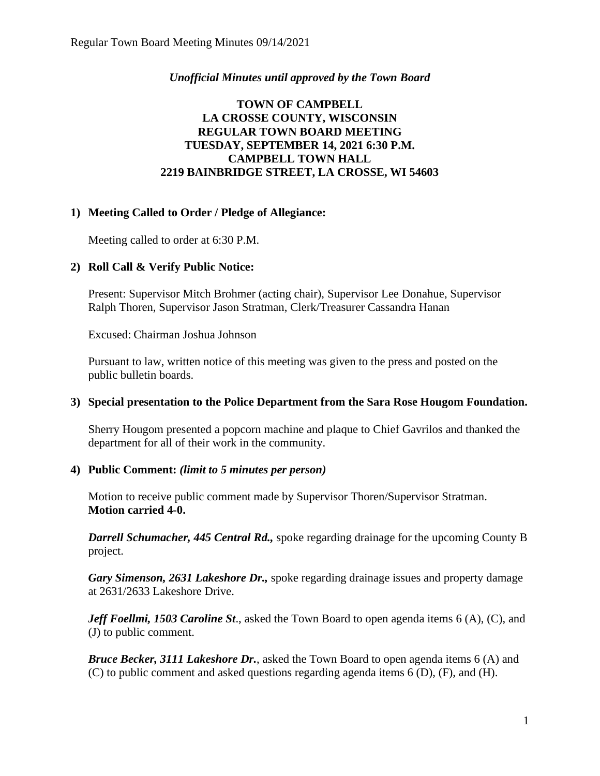# *Unofficial Minutes until approved by the Town Board*

# **TOWN OF CAMPBELL LA CROSSE COUNTY, WISCONSIN REGULAR TOWN BOARD MEETING TUESDAY, SEPTEMBER 14, 2021 6:30 P.M. CAMPBELL TOWN HALL 2219 BAINBRIDGE STREET, LA CROSSE, WI 54603**

# **1) Meeting Called to Order / Pledge of Allegiance:**

Meeting called to order at 6:30 P.M.

# **2) Roll Call & Verify Public Notice:**

Present: Supervisor Mitch Brohmer (acting chair), Supervisor Lee Donahue, Supervisor Ralph Thoren, Supervisor Jason Stratman, Clerk/Treasurer Cassandra Hanan

Excused: Chairman Joshua Johnson

Pursuant to law, written notice of this meeting was given to the press and posted on the public bulletin boards.

#### **3) Special presentation to the Police Department from the Sara Rose Hougom Foundation.**

Sherry Hougom presented a popcorn machine and plaque to Chief Gavrilos and thanked the department for all of their work in the community.

#### **4) Public Comment:** *(limit to 5 minutes per person)*

Motion to receive public comment made by Supervisor Thoren/Supervisor Stratman. **Motion carried 4-0.**

*Darrell Schumacher, 445 Central Rd.,* spoke regarding drainage for the upcoming County B project.

*Gary Simenson, 2631 Lakeshore Dr.,* spoke regarding drainage issues and property damage at 2631/2633 Lakeshore Drive.

*Jeff Foellmi, 1503 Caroline St*., asked the Town Board to open agenda items 6 (A), (C), and (J) to public comment.

*Bruce Becker, 3111 Lakeshore Dr.*, asked the Town Board to open agenda items 6 (A) and (C) to public comment and asked questions regarding agenda items 6 (D), (F), and (H).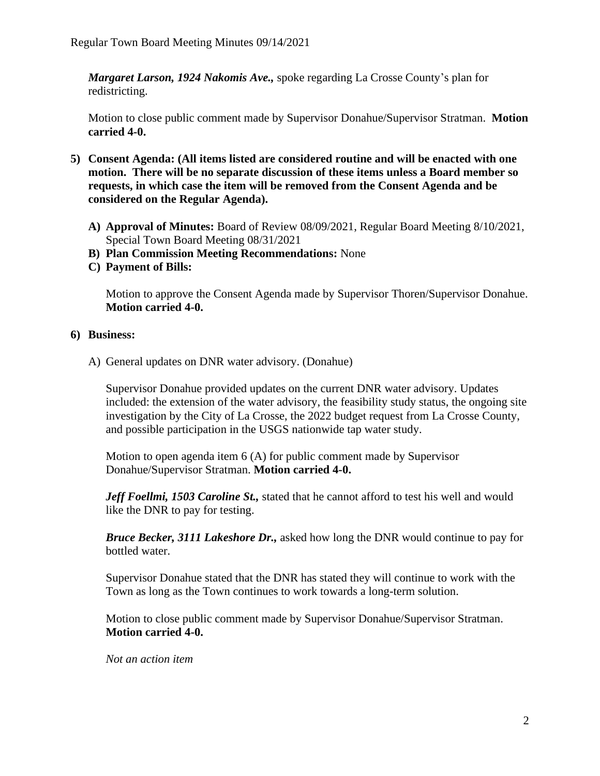*Margaret Larson, 1924 Nakomis Ave.,* spoke regarding La Crosse County's plan for redistricting.

Motion to close public comment made by Supervisor Donahue/Supervisor Stratman. **Motion carried 4-0.**

- **5) Consent Agenda: (All items listed are considered routine and will be enacted with one motion. There will be no separate discussion of these items unless a Board member so requests, in which case the item will be removed from the Consent Agenda and be considered on the Regular Agenda).**
	- **A) Approval of Minutes:** Board of Review 08/09/2021, Regular Board Meeting 8/10/2021, Special Town Board Meeting 08/31/2021
	- **B) Plan Commission Meeting Recommendations:** None
	- **C) Payment of Bills:**

Motion to approve the Consent Agenda made by Supervisor Thoren/Supervisor Donahue. **Motion carried 4-0.** 

#### **6) Business:**

A) General updates on DNR water advisory. (Donahue)

Supervisor Donahue provided updates on the current DNR water advisory. Updates included: the extension of the water advisory, the feasibility study status, the ongoing site investigation by the City of La Crosse, the 2022 budget request from La Crosse County, and possible participation in the USGS nationwide tap water study.

Motion to open agenda item 6 (A) for public comment made by Supervisor Donahue/Supervisor Stratman. **Motion carried 4-0.**

*Jeff Foellmi, 1503 Caroline St.,* stated that he cannot afford to test his well and would like the DNR to pay for testing.

*Bruce Becker, 3111 Lakeshore Dr.,* asked how long the DNR would continue to pay for bottled water.

Supervisor Donahue stated that the DNR has stated they will continue to work with the Town as long as the Town continues to work towards a long-term solution.

Motion to close public comment made by Supervisor Donahue/Supervisor Stratman. **Motion carried 4-0.**

*Not an action item*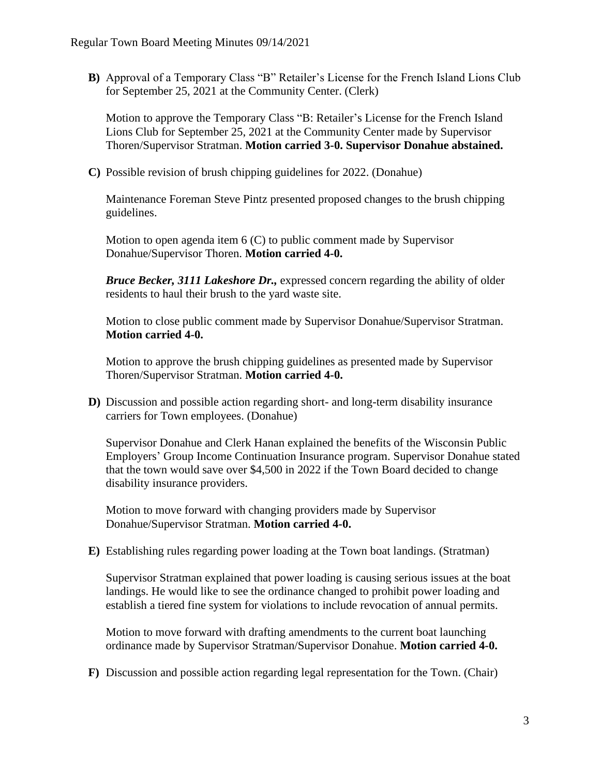**B)** Approval of a Temporary Class "B" Retailer's License for the French Island Lions Club for September 25, 2021 at the Community Center. (Clerk)

Motion to approve the Temporary Class "B: Retailer's License for the French Island Lions Club for September 25, 2021 at the Community Center made by Supervisor Thoren/Supervisor Stratman. **Motion carried 3-0. Supervisor Donahue abstained.** 

**C)** Possible revision of brush chipping guidelines for 2022. (Donahue)

Maintenance Foreman Steve Pintz presented proposed changes to the brush chipping guidelines.

Motion to open agenda item 6 (C) to public comment made by Supervisor Donahue/Supervisor Thoren. **Motion carried 4-0.**

*Bruce Becker, 3111 Lakeshore Dr.,* expressed concern regarding the ability of older residents to haul their brush to the yard waste site.

Motion to close public comment made by Supervisor Donahue/Supervisor Stratman. **Motion carried 4-0.**

Motion to approve the brush chipping guidelines as presented made by Supervisor Thoren/Supervisor Stratman. **Motion carried 4-0.**

**D)** Discussion and possible action regarding short- and long-term disability insurance carriers for Town employees. (Donahue)

Supervisor Donahue and Clerk Hanan explained the benefits of the Wisconsin Public Employers' Group Income Continuation Insurance program. Supervisor Donahue stated that the town would save over \$4,500 in 2022 if the Town Board decided to change disability insurance providers.

Motion to move forward with changing providers made by Supervisor Donahue/Supervisor Stratman. **Motion carried 4-0.** 

**E)** Establishing rules regarding power loading at the Town boat landings. (Stratman)

Supervisor Stratman explained that power loading is causing serious issues at the boat landings. He would like to see the ordinance changed to prohibit power loading and establish a tiered fine system for violations to include revocation of annual permits.

Motion to move forward with drafting amendments to the current boat launching ordinance made by Supervisor Stratman/Supervisor Donahue. **Motion carried 4-0.**

**F)** Discussion and possible action regarding legal representation for the Town. (Chair)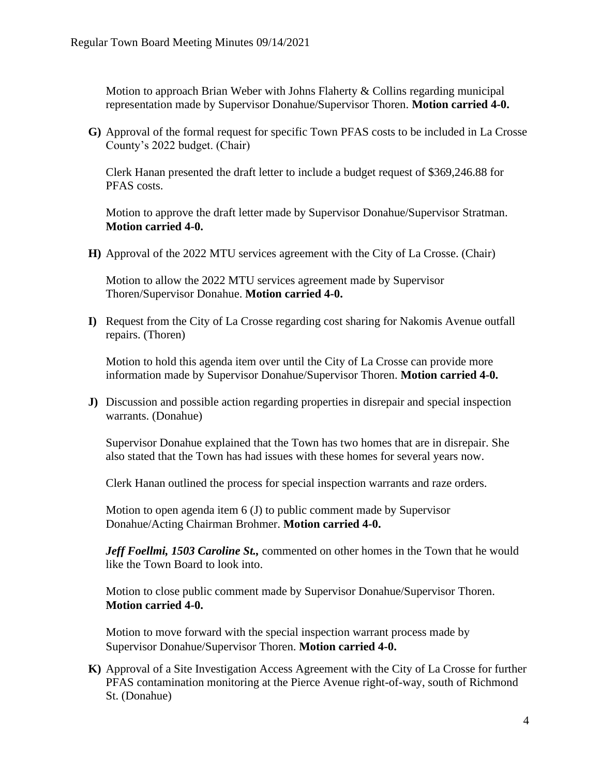Motion to approach Brian Weber with Johns Flaherty & Collins regarding municipal representation made by Supervisor Donahue/Supervisor Thoren. **Motion carried 4-0.** 

**G)** Approval of the formal request for specific Town PFAS costs to be included in La Crosse County's 2022 budget. (Chair)

Clerk Hanan presented the draft letter to include a budget request of \$369,246.88 for PFAS costs.

Motion to approve the draft letter made by Supervisor Donahue/Supervisor Stratman. **Motion carried 4-0.**

**H)** Approval of the 2022 MTU services agreement with the City of La Crosse. (Chair)

Motion to allow the 2022 MTU services agreement made by Supervisor Thoren/Supervisor Donahue. **Motion carried 4-0.** 

**I)** Request from the City of La Crosse regarding cost sharing for Nakomis Avenue outfall repairs. (Thoren)

Motion to hold this agenda item over until the City of La Crosse can provide more information made by Supervisor Donahue/Supervisor Thoren. **Motion carried 4-0.**

**J)** Discussion and possible action regarding properties in disrepair and special inspection warrants. (Donahue)

Supervisor Donahue explained that the Town has two homes that are in disrepair. She also stated that the Town has had issues with these homes for several years now.

Clerk Hanan outlined the process for special inspection warrants and raze orders.

Motion to open agenda item 6 (J) to public comment made by Supervisor Donahue/Acting Chairman Brohmer. **Motion carried 4-0.**

*Jeff Foellmi, 1503 Caroline St.,* commented on other homes in the Town that he would like the Town Board to look into.

Motion to close public comment made by Supervisor Donahue/Supervisor Thoren. **Motion carried 4-0.**

Motion to move forward with the special inspection warrant process made by Supervisor Donahue/Supervisor Thoren. **Motion carried 4-0.**

**K)** Approval of a Site Investigation Access Agreement with the City of La Crosse for further PFAS contamination monitoring at the Pierce Avenue right-of-way, south of Richmond St. (Donahue)